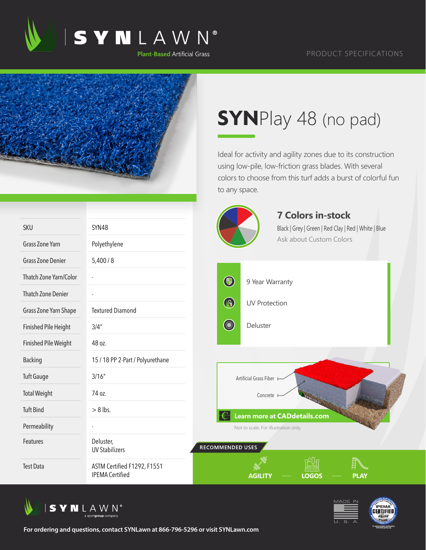



## **SYN**Play 48 (no pad)

Ideal for activity and agility zones due to its construction using low-pile, low-friction grass blades. With several colors to choose from this turf adds a burst of colorful fun to any space.

|                             |                                                       |                                   | <b>7 Colors in-stock</b>                             |             |
|-----------------------------|-------------------------------------------------------|-----------------------------------|------------------------------------------------------|-------------|
| <b>SKU</b>                  | SYN48                                                 |                                   | Black   Grey   Green   Red Clay   Red   White   Blue |             |
| <b>Grass Zone Yarn</b>      | Polyethylene                                          |                                   | Ask about Custom Colors                              |             |
| <b>Grass Zone Denier</b>    | 5,400/8                                               |                                   |                                                      |             |
| Thatch Zone Yarn/Color      |                                                       | $\bigcirc$                        | 9 Year Warranty                                      |             |
| <b>Thatch Zone Denier</b>   |                                                       |                                   |                                                      |             |
| Grass Zone Yarn Shape       | <b>Textured Diamond</b>                               | $\bigcirc$                        | <b>UV Protection</b>                                 |             |
| <b>Finished Pile Height</b> | 3/4''                                                 | <b>Contract Contract Contract</b> | Deluster                                             |             |
| <b>Finished Pile Weight</b> | 48 oz.                                                |                                   |                                                      |             |
| <b>Backing</b>              | 15 / 18 PP 2-Part / Polyurethane                      |                                   |                                                      |             |
| <b>Tuft Gauge</b>           | 3/16''                                                |                                   | Artificial Grass Fiber                               |             |
| <b>Total Weight</b>         | 74 oz.                                                |                                   | Concrete                                             |             |
| <b>Tuft Bind</b>            | $> 8$ lbs.                                            |                                   | <b>Learn more at CADdetails.com</b>                  |             |
| Permeability                |                                                       |                                   | Not to scale. For illustration only.                 |             |
| Features                    | Deluster,<br><b>UV Stabilizers</b>                    | RECOMMENDED USES                  |                                                      |             |
| <b>Test Data</b>            | ASTM Certified F1292, F1551<br><b>IPEMA Certified</b> |                                   | <b>LOGOS</b><br><b>AGILITY</b>                       | <b>PLAY</b> |

 $\sqrt{2}$ 







**For ordering and questions, contact SYNLawn at 866-796-5296 or visit SYNLawn.com**